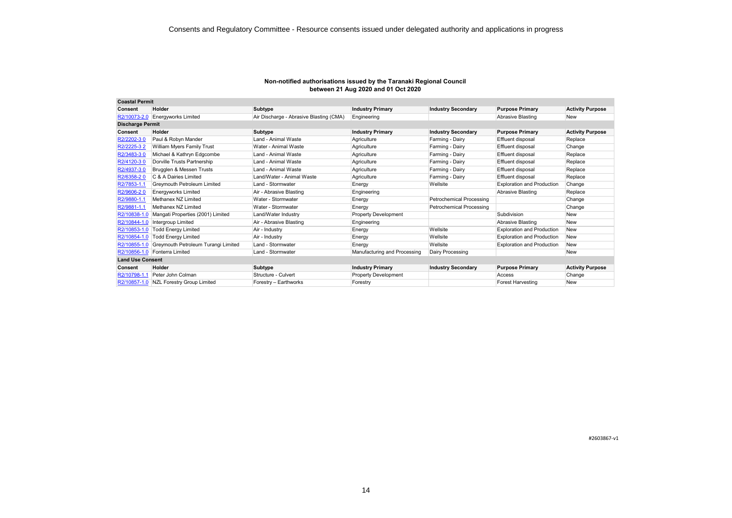| <b>Coastal Permit</b>   |                                         |                                         |                              |                           |                                   |                         |
|-------------------------|-----------------------------------------|-----------------------------------------|------------------------------|---------------------------|-----------------------------------|-------------------------|
| Consent                 | Holder                                  | Subtype                                 | <b>Industry Primary</b>      | <b>Industry Secondary</b> | <b>Purpose Primary</b>            | <b>Activity Purpose</b> |
| R2/10073-2.0            | <b>Energyworks Limited</b>              | Air Discharge - Abrasive Blasting (CMA) | Engineering                  |                           | <b>Abrasive Blasting</b>          | <b>New</b>              |
| <b>Discharge Permit</b> |                                         |                                         |                              |                           |                                   |                         |
| <b>Consent</b>          | Holder                                  | Subtype                                 | <b>Industry Primary</b>      | <b>Industry Secondary</b> | <b>Purpose Primary</b>            | <b>Activity Purpose</b> |
| R2/2202-30              | Paul & Robyn Mander                     | Land - Animal Waste                     | Agriculture                  | Farming - Dairy           | <b>Effluent disposal</b>          | Replace                 |
| R2/2225-32              | William Myers Family Trust              | Water - Animal Waste                    | Agriculture                  | Farming - Dairy           | Effluent disposal                 | Change                  |
| R2/3483-30              | Michael & Kathryn Edgcombe              | Land - Animal Waste                     | Agriculture                  | Farming - Dairy           | <b>Effluent disposal</b>          | Replace                 |
| R2/4120-30              | Dorville Trusts Partnership             | Land - Animal Waste                     | Agriculture                  | Farming - Dairy           | Effluent disposal                 | Replace                 |
| R2/4937-30              | Brugglen & Messen Trusts                | Land - Animal Waste                     | Agriculture                  | Farming - Dairy           | Effluent disposal                 | Replace                 |
| R2/6358-20              | C & A Dairies Limited                   | Land/Water - Animal Waste               | Agriculture                  | Farming - Dairy           | Effluent disposal                 | Replace                 |
| R2/7853-1.1             | <b>Grevmouth Petroleum Limited</b>      | Land - Stormwater                       | Energy                       | Wellsite                  | <b>Exploration and Production</b> | Change                  |
| R2/9606-20              | <b>Energyworks Limited</b>              | Air - Abrasive Blasting                 | Engineering                  |                           | <b>Abrasive Blasting</b>          | Replace                 |
| R2/9880-1.1             | Methanex NZ Limited                     | Water - Stormwater                      | Energy                       | Petrochemical Processing  |                                   | Change                  |
| R2/9881-1.1             | Methanex NZ Limited                     | Water - Stormwater                      | Energy                       | Petrochemical Processing  |                                   | Change                  |
| R2/10838-1.0            | Mangati Properties (2001) Limited       | Land/Water Industry                     | <b>Property Development</b>  |                           | Subdivision                       | <b>New</b>              |
| R2/10844-1.0            | Intergroup Limited                      | Air - Abrasive Blasting                 | Engineering                  |                           | Abrasive Blasting                 | <b>New</b>              |
| R2/10853-1.0            | <b>Todd Energy Limited</b>              | Air - Industry                          | Energy                       | Wellsite                  | <b>Exploration and Production</b> | <b>New</b>              |
| R2/10854-1.0            | <b>Todd Energy Limited</b>              | Air - Industry                          | Energy                       | Wellsite                  | <b>Exploration and Production</b> | <b>New</b>              |
| R2/10855-1.0            | Greymouth Petroleum Turangi Limited     | Land - Stormwater                       | Energy                       | Wellsite                  | <b>Exploration and Production</b> | <b>New</b>              |
|                         | R2/10856-1.0 Fonterra Limited           | Land - Stormwater                       | Manufacturing and Processing | Dairy Processing          |                                   | <b>New</b>              |
| <b>Land Use Consent</b> |                                         |                                         |                              |                           |                                   |                         |
| Consent                 | Holder                                  | Subtype                                 | <b>Industry Primary</b>      | <b>Industry Secondary</b> | <b>Purpose Primary</b>            | <b>Activity Purpose</b> |
| R2/10798-1.1            | Peter John Colman                       | Structure - Culvert                     | <b>Property Development</b>  |                           | Access                            | Change                  |
|                         | R2/10857-1.0 NZL Forestry Group Limited | Forestry - Earthworks                   | Forestry                     |                           | <b>Forest Harvesting</b>          | <b>New</b>              |

#2603867-v1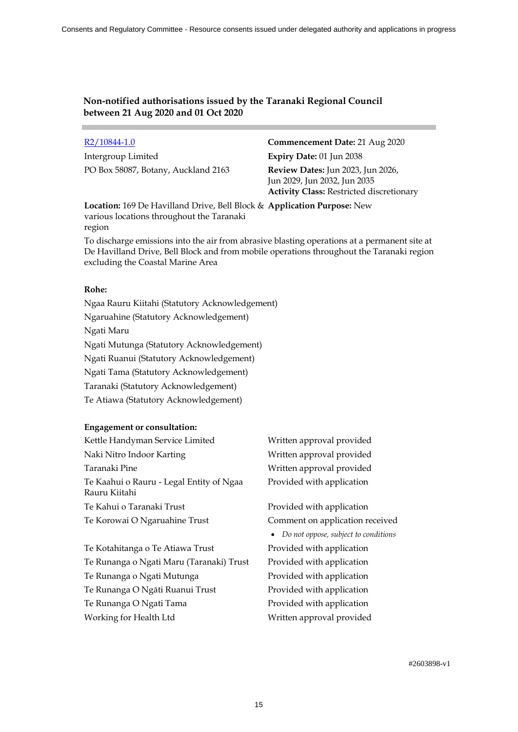Intergroup Limited **Expiry Date:** 01 Jun 2038 PO Box 58087, Botany, Auckland 2163 **Review Dates:** Jun 2023, Jun 2026,

R2/10844-1.0 **Commencement Date:** 21 Aug 2020 Jun 2029, Jun 2032, Jun 2035 **Activity Class:** Restricted discretionary

**Location:** 169 De Havilland Drive, Bell Block & **Application Purpose:** New various locations throughout the Taranaki region

To discharge emissions into the air from abrasive blasting operations at a permanent site at De Havilland Drive, Bell Block and from mobile operations throughout the Taranaki region excluding the Coastal Marine Area

### **Rohe:**

Ngaa Rauru Kiitahi (Statutory Acknowledgement) Ngaruahine (Statutory Acknowledgement) Ngati Maru Ngati Mutunga (Statutory Acknowledgement) Ngati Ruanui (Statutory Acknowledgement) Ngati Tama (Statutory Acknowledgement) Taranaki (Statutory Acknowledgement) Te Atiawa (Statutory Acknowledgement)

# **Engagement or consultation:**

| Kettle Handyman Service Limited                           | Written approval provided              |
|-----------------------------------------------------------|----------------------------------------|
| Naki Nitro Indoor Karting                                 | Written approval provided              |
| Taranaki Pine                                             | Written approval provided              |
| Te Kaahui o Rauru - Legal Entity of Ngaa<br>Rauru Kiitahi | Provided with application              |
| Te Kahui o Taranaki Trust                                 | Provided with application              |
| Te Korowai O Ngaruahine Trust                             | Comment on application received        |
|                                                           | • Do not oppose, subject to conditions |
| Te Kotahitanga o Te Atiawa Trust                          | Provided with application              |
| Te Runanga o Ngati Maru (Taranaki) Trust                  | Provided with application              |
| Te Runanga o Ngati Mutunga                                | Provided with application              |
| Te Runanga O Ngāti Ruanui Trust                           | Provided with application              |
| Te Runanga O Ngati Tama                                   | Provided with application              |

Working for Health Ltd Written approval provided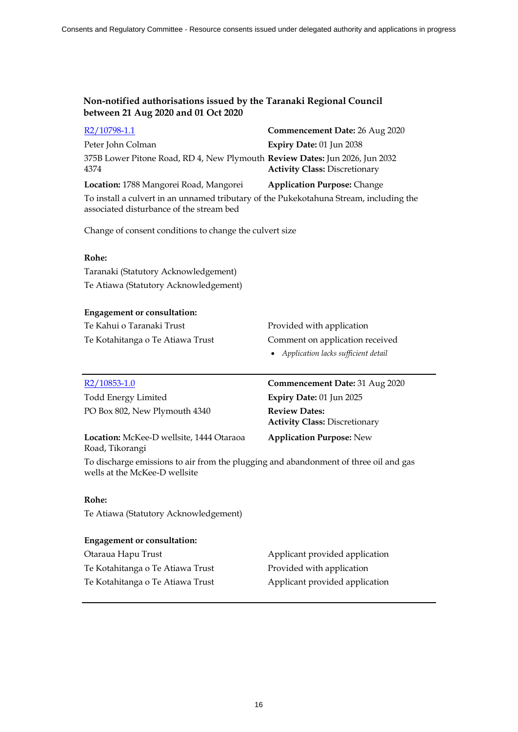| R2/10798-1.1                                                                                                                       | Commencement Date: 26 Aug 2020       |
|------------------------------------------------------------------------------------------------------------------------------------|--------------------------------------|
| Peter John Colman                                                                                                                  | Expiry Date: 01 Jun 2038             |
| 375B Lower Pitone Road, RD 4, New Plymouth Review Dates: Jun 2026, Jun 2032<br>4374                                                | <b>Activity Class: Discretionary</b> |
| Location: 1788 Mangorei Road, Mangorei                                                                                             | <b>Application Purpose: Change</b>   |
| To install a culvert in an unnamed tributary of the Pukekotahuna Stream, including the<br>associated disturbance of the stream bed |                                      |

Change of consent conditions to change the culvert size

# **Rohe:**

Taranaki (Statutory Acknowledgement) Te Atiawa (Statutory Acknowledgement)

# **Engagement or consultation:**

| Te Kahui o Taranaki Trust        | Provided with application             |
|----------------------------------|---------------------------------------|
| Te Kotahitanga o Te Atiawa Trust | Comment on application received       |
|                                  | • Application lacks sufficient detail |

| R2/10853-1.0                             | Commencement Date: 31 Aug 2020                               |
|------------------------------------------|--------------------------------------------------------------|
| <b>Todd Energy Limited</b>               | Expiry Date: 01 Jun 2025                                     |
| PO Box 802, New Plymouth 4340            | <b>Review Dates:</b><br><b>Activity Class: Discretionary</b> |
| Location: McKee-D wellsite, 1444 Otaraoa | <b>Application Purpose: New</b>                              |

Road, Tikorangi

To discharge emissions to air from the plugging and abandonment of three oil and gas wells at the McKee-D wellsite

# **Rohe:**

Te Atiawa (Statutory Acknowledgement)

#### **Engagement or consultation:**

| Otaraua Hapu Trust               | Applicant provided application |
|----------------------------------|--------------------------------|
| Te Kotahitanga o Te Atiawa Trust | Provided with application      |
| Te Kotahitanga o Te Atiawa Trust | Applicant provided application |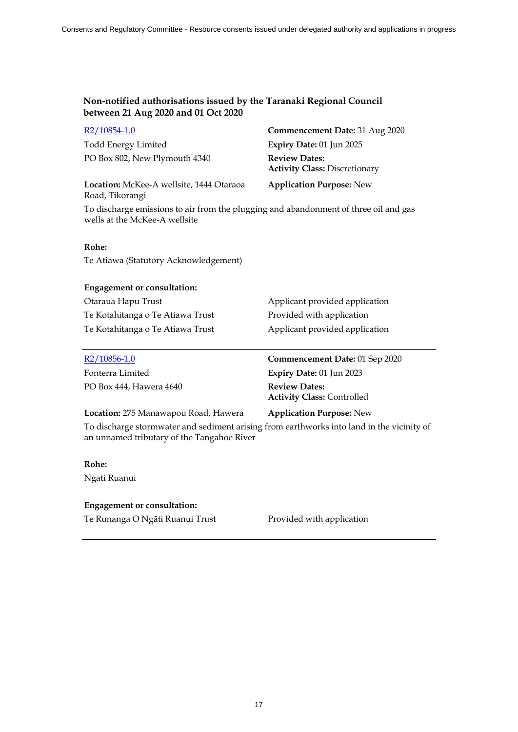| $R2/10854-1.0$                | Commencement Date: 31 Aug 2020                               |
|-------------------------------|--------------------------------------------------------------|
| <b>Todd Energy Limited</b>    | Expiry Date: 01 Jun 2025                                     |
| PO Box 802, New Plymouth 4340 | <b>Review Dates:</b><br><b>Activity Class: Discretionary</b> |
|                               |                                                              |

**Location:** McKee-A wellsite, 1444 Otaraoa Road, Tikorangi

**Application Purpose:** New

To discharge emissions to air from the plugging and abandonment of three oil and gas wells at the McKee-A wellsite

### **Rohe:**

Te Atiawa (Statutory Acknowledgement)

#### **Engagement or consultation:**

Otaraua Hapu Trust **Applicant provided application** Te Kotahitanga o Te Atiawa Trust Provided with application Te Kotahitanga o Te Atiawa Trust Applicant provided application

PO Box 444, Hawera 4640 **Review Dates:** 

R2/10856-1.0 **Commencement Date:** 01 Sep 2020 Fonterra Limited **Expiry Date:** 01 Jun 2023 **Activity Class:** Controlled

### **Location:** 275 Manawapou Road, Hawera **Application Purpose:** New

To discharge stormwater and sediment arising from earthworks into land in the vicinity of an unnamed tributary of the Tangahoe River

# **Rohe:**

Ngati Ruanui

# **Engagement or consultation:**

Te Runanga O Ngāti Ruanui Trust Provided with application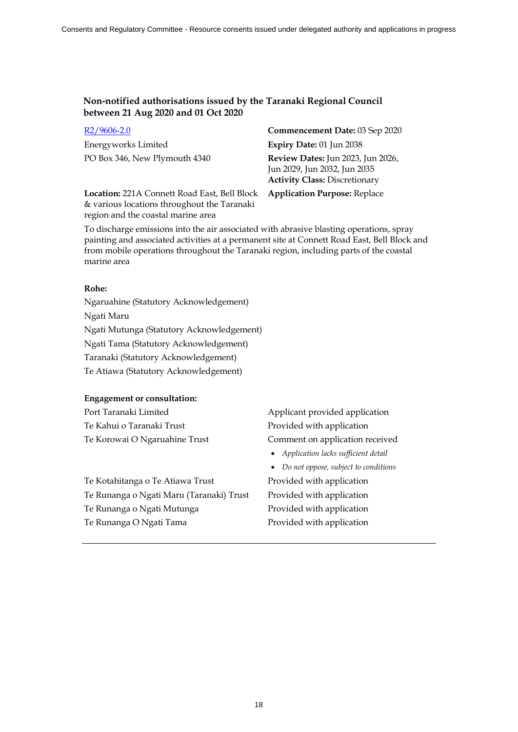Energyworks Limited **Expiry Date:** 01 Jun 2038

R2/9606-2.0 **Commencement Date:** 03 Sep 2020 PO Box 346, New Plymouth 4340 **Review Dates:** Jun 2023, Jun 2026, Jun 2029, Jun 2032, Jun 2035 **Activity Class:** Discretionary

**Location:** 221A Connett Road East, Bell Block & various locations throughout the Taranaki region and the coastal marine area

**Application Purpose:** Replace

To discharge emissions into the air associated with abrasive blasting operations, spray painting and associated activities at a permanent site at Connett Road East, Bell Block and from mobile operations throughout the Taranaki region, including parts of the coastal marine area

#### **Rohe:**

Ngaruahine (Statutory Acknowledgement) Ngati Maru Ngati Mutunga (Statutory Acknowledgement) Ngati Tama (Statutory Acknowledgement) Taranaki (Statutory Acknowledgement) Te Atiawa (Statutory Acknowledgement)

# **Engagement or consultation:**

Te Kahui o Taranaki Trust Provided with application

Te Kotahitanga o Te Atiawa Trust Provided with application Te Runanga o Ngati Maru (Taranaki) Trust Provided with application Te Runanga o Ngati Mutunga Provided with application

Port Taranaki Limited Applicant provided application Te Korowai O Ngaruahine Trust Comment on application received

- *Application lacks sufficient detail*
- *Do not oppose, subject to conditions*

Te Runanga O Ngati Tama Provided with application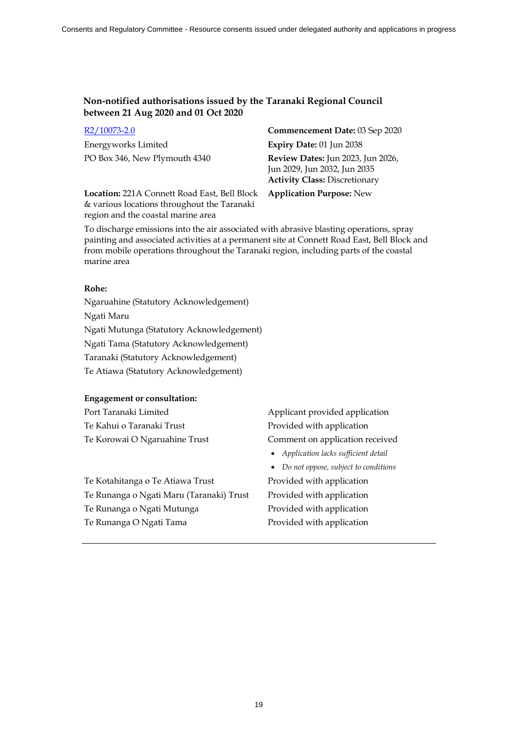Energyworks Limited **Expiry Date:** 01 Jun 2038

R2/10073-2.0 **Commencement Date:** 03 Sep 2020 PO Box 346, New Plymouth 4340 **Review Dates:** Jun 2023, Jun 2026, Jun 2029, Jun 2032, Jun 2035 **Activity Class:** Discretionary

**Location:** 221A Connett Road East, Bell Block & various locations throughout the Taranaki region and the coastal marine area

**Application Purpose:** New

To discharge emissions into the air associated with abrasive blasting operations, spray painting and associated activities at a permanent site at Connett Road East, Bell Block and from mobile operations throughout the Taranaki region, including parts of the coastal marine area

#### **Rohe:**

Ngaruahine (Statutory Acknowledgement) Ngati Maru Ngati Mutunga (Statutory Acknowledgement) Ngati Tama (Statutory Acknowledgement) Taranaki (Statutory Acknowledgement) Te Atiawa (Statutory Acknowledgement)

# **Engagement or consultation:**

Te Kahui o Taranaki Trust Provided with application

Te Kotahitanga o Te Atiawa Trust Provided with application Te Runanga o Ngati Maru (Taranaki) Trust Provided with application Te Runanga o Ngati Mutunga Provided with application Te Runanga O Ngati Tama Provided with application

Port Taranaki Limited Applicant provided application Te Korowai O Ngaruahine Trust Comment on application received

- *Application lacks sufficient detail*
- *Do not oppose, subject to conditions*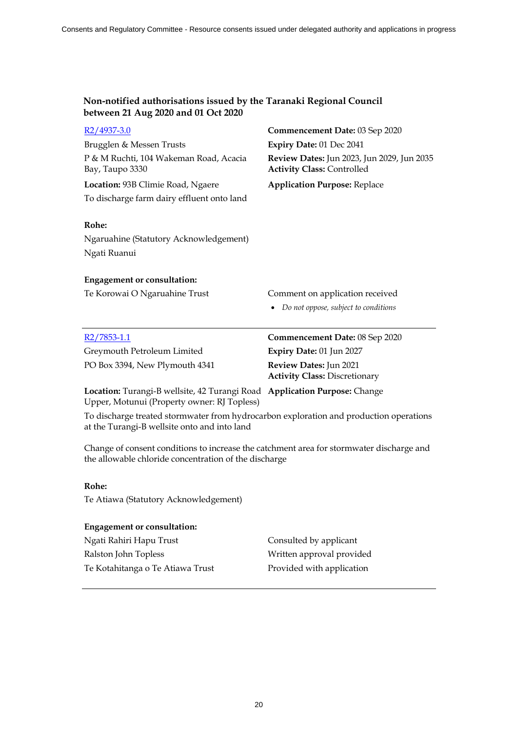| $R2/4937-3.0$                                                                                                                                     | Commencement Date: 03 Sep 2020                                                  |  |  |
|---------------------------------------------------------------------------------------------------------------------------------------------------|---------------------------------------------------------------------------------|--|--|
| Brugglen & Messen Trusts                                                                                                                          | Expiry Date: 01 Dec 2041                                                        |  |  |
| P & M Ruchti, 104 Wakeman Road, Acacia<br>Bay, Taupo 3330                                                                                         | Review Dates: Jun 2023, Jun 2029, Jun 2035<br><b>Activity Class: Controlled</b> |  |  |
| Location: 93B Climie Road, Ngaere                                                                                                                 | <b>Application Purpose: Replace</b>                                             |  |  |
| To discharge farm dairy effluent onto land                                                                                                        |                                                                                 |  |  |
| Rohe:                                                                                                                                             |                                                                                 |  |  |
| Ngaruahine (Statutory Acknowledgement)                                                                                                            |                                                                                 |  |  |
| Ngati Ruanui                                                                                                                                      |                                                                                 |  |  |
| <b>Engagement or consultation:</b>                                                                                                                |                                                                                 |  |  |
| Te Korowai O Ngaruahine Trust                                                                                                                     | Comment on application received                                                 |  |  |
|                                                                                                                                                   | Do not oppose, subject to conditions                                            |  |  |
|                                                                                                                                                   |                                                                                 |  |  |
| $R2/7853-1.1$                                                                                                                                     | Commencement Date: 08 Sep 2020                                                  |  |  |
| Greymouth Petroleum Limited                                                                                                                       | Expiry Date: 01 Jun 2027                                                        |  |  |
| PO Box 3394, New Plymouth 4341                                                                                                                    | Review Dates: Jun 2021<br><b>Activity Class: Discretionary</b>                  |  |  |
| Location: Turangi-B wellsite, 42 Turangi Road Application Purpose: Change<br>Upper, Motunui (Property owner: RJ Topless)                          |                                                                                 |  |  |
| To discharge treated stormwater from hydrocarbon exploration and production operations<br>at the Turangi-B wellsite onto and into land            |                                                                                 |  |  |
| Change of consent conditions to increase the catchment area for stormwater discharge and<br>the allowable chloride concentration of the discharge |                                                                                 |  |  |
| Rohe:                                                                                                                                             |                                                                                 |  |  |
| Te Atiawa (Statutory Acknowledgement)                                                                                                             |                                                                                 |  |  |
| <b>Engagement or consultation:</b>                                                                                                                |                                                                                 |  |  |
| Ngati Rahiri Hapu Trust                                                                                                                           | Consulted by applicant                                                          |  |  |
| Ralston John Topless                                                                                                                              | Written approval provided                                                       |  |  |
| Te Kotahitanga o Te Atiawa Trust                                                                                                                  | Provided with application                                                       |  |  |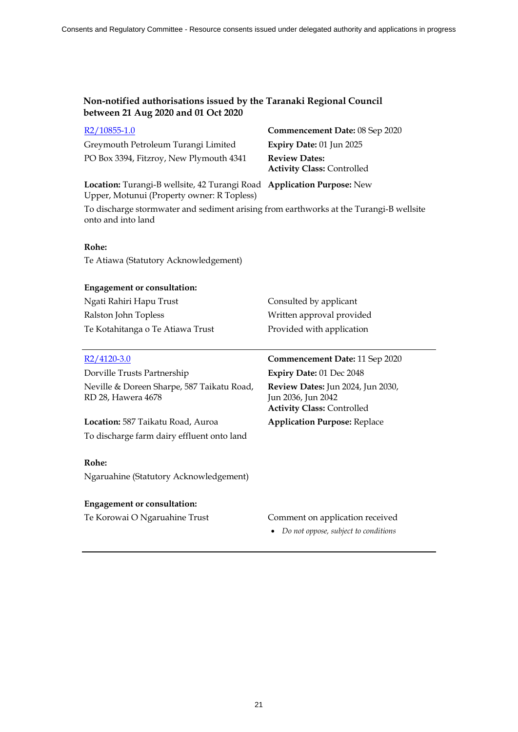| $R2/10855-1.0$                                                                                                       | Commencement Date: 08 Sep 2020                            |
|----------------------------------------------------------------------------------------------------------------------|-----------------------------------------------------------|
| Greymouth Petroleum Turangi Limited                                                                                  | Expiry Date: 01 Jun 2025                                  |
| PO Box 3394, Fitzroy, New Plymouth 4341                                                                              | <b>Review Dates:</b><br><b>Activity Class: Controlled</b> |
| Location: Turangi-B wellsite, 42 Turangi Road Application Purpose: New<br>Upper, Motunui (Property owner: R Topless) |                                                           |

To discharge stormwater and sediment arising from earthworks at the Turangi-B wellsite onto and into land

### **Rohe:**

Te Atiawa (Statutory Acknowledgement)

| <b>Engagement or consultation:</b> |                           |
|------------------------------------|---------------------------|
| Ngati Rahiri Hapu Trust            | Consulted by applicant    |
| Ralston John Topless               | Written approval provided |
| Te Kotahitanga o Te Atiawa Trust   | Provided with application |

Dorville Trusts Partnership **Expiry Date:** 01 Dec 2048 Neville & Doreen Sharpe, 587 Taikatu Road, RD 28, Hawera 4678

**Location:** 587 Taikatu Road, Auroa **Application Purpose:** Replace To discharge farm dairy effluent onto land

#### **Rohe:**

Ngaruahine (Statutory Acknowledgement)

#### **Engagement or consultation:**

# R2/4120-3.0 **Commencement Date:** 11 Sep 2020

**Review Dates:** Jun 2024, Jun 2030, Jun 2036, Jun 2042 **Activity Class:** Controlled

Te Korowai O Ngaruahine Trust Comment on application received

*Do not oppose, subject to conditions*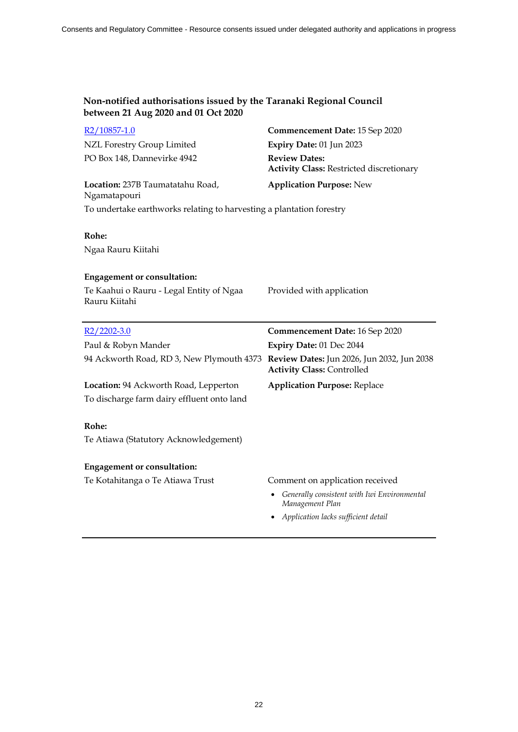| R <sub>2</sub> /10857-1.0                                            | Commencement Date: 15 Sep 2020                                                  |
|----------------------------------------------------------------------|---------------------------------------------------------------------------------|
| NZL Forestry Group Limited                                           | Expiry Date: 01 Jun 2023                                                        |
| PO Box 148, Dannevirke 4942                                          | <b>Review Dates:</b><br><b>Activity Class: Restricted discretionary</b>         |
| Location: 237B Taumatatahu Road,<br>Ngamatapouri                     | <b>Application Purpose: New</b>                                                 |
| To undertake earthworks relating to harvesting a plantation forestry |                                                                                 |
| Rohe:                                                                |                                                                                 |
| Ngaa Rauru Kiitahi                                                   |                                                                                 |
| <b>Engagement or consultation:</b>                                   |                                                                                 |
| Te Kaahui o Rauru - Legal Entity of Ngaa<br>Rauru Kiitahi            | Provided with application                                                       |
|                                                                      |                                                                                 |
| $R2/2202-3.0$                                                        | <b>Commencement Date: 16 Sep 2020</b>                                           |
| Paul & Robyn Mander                                                  | Expiry Date: 01 Dec 2044                                                        |
| 94 Ackworth Road, RD 3, New Plymouth 4373                            | Review Dates: Jun 2026, Jun 2032, Jun 2038<br><b>Activity Class: Controlled</b> |
| Location: 94 Ackworth Road, Lepperton                                | <b>Application Purpose: Replace</b>                                             |
| To discharge farm dairy effluent onto land                           |                                                                                 |
| Rohe:                                                                |                                                                                 |
| Te Atiawa (Statutory Acknowledgement)                                |                                                                                 |
| <b>Engagement or consultation:</b>                                   |                                                                                 |
| Te Kotahitanga o Te Atiawa Trust                                     | Comment on application received                                                 |
|                                                                      | Generally consistent with Iwi Environmental<br>Management Plan                  |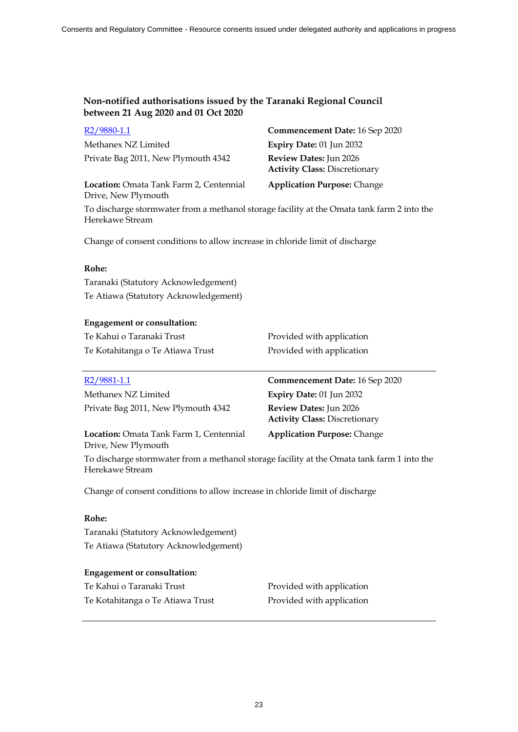| $R2/9880-1.1$                       | Commencement Date: 16 Sep 2020                                        |
|-------------------------------------|-----------------------------------------------------------------------|
| Methanex NZ Limited                 | Expiry Date: 01 Jun 2032                                              |
| Private Bag 2011, New Plymouth 4342 | <b>Review Dates:</b> Jun 2026<br><b>Activity Class: Discretionary</b> |

**Location:** Omata Tank Farm 2, Centennial Drive, New Plymouth

**Application Purpose:** Change

To discharge stormwater from a methanol storage facility at the Omata tank farm 2 into the Herekawe Stream

Change of consent conditions to allow increase in chloride limit of discharge

# **Rohe:**

Taranaki (Statutory Acknowledgement) Te Atiawa (Statutory Acknowledgement)

# **Engagement or consultation:**

| Te Kahui o Taranaki Trust        | Provided with application |
|----------------------------------|---------------------------|
| Te Kotahitanga o Te Atiawa Trust | Provided with application |

| R <sub>2</sub> /9881-1.1                                              | Commencement Date: 16 Sep 2020                                 |
|-----------------------------------------------------------------------|----------------------------------------------------------------|
| Methanex NZ Limited                                                   | Expiry Date: 01 Jun 2032                                       |
| Private Bag 2011, New Plymouth 4342                                   | Review Dates: Jun 2026<br><b>Activity Class: Discretionary</b> |
| <b>Location:</b> Omata Tank Farm 1, Centennial<br>Drive, New Plymouth | <b>Application Purpose: Change</b>                             |

To discharge stormwater from a methanol storage facility at the Omata tank farm 1 into the Herekawe Stream

Change of consent conditions to allow increase in chloride limit of discharge

### **Rohe:**

Taranaki (Statutory Acknowledgement) Te Atiawa (Statutory Acknowledgement)

# **Engagement or consultation:**

| Te Kahui o Taranaki Trust        | Provided with application |
|----------------------------------|---------------------------|
| Te Kotahitanga o Te Atiawa Trust | Provided with application |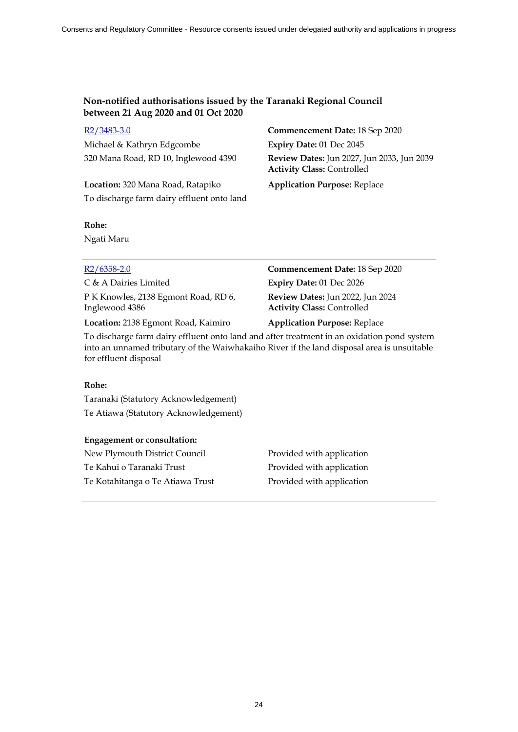Michael & Kathryn Edgcombe **Expiry Date:** 01 Dec 2045

**Location:** 320 Mana Road, Ratapiko **Application Purpose:** Replace To discharge farm dairy effluent onto land

# R2/3483-3.0 **Commencement Date:** 18 Sep 2020 320 Mana Road, RD 10, Inglewood 4390 **Review Dates:** Jun 2027, Jun 2033, Jun 2039 **Activity Class:** Controlled

# **Rohe:**

Ngati Maru

| $R2/6358-2.0$                                          | Commencement Date: 18 Sep 2020                                        |
|--------------------------------------------------------|-----------------------------------------------------------------------|
| C & A Dairies Limited                                  | Expiry Date: 01 Dec 2026                                              |
| P K Knowles, 2138 Egmont Road, RD 6,<br>Inglewood 4386 | Review Dates: Jun 2022, Jun 2024<br><b>Activity Class: Controlled</b> |
| Location: 2138 Egmont Road, Kaimiro                    | <b>Application Purpose: Replace</b>                                   |

To discharge farm dairy effluent onto land and after treatment in an oxidation pond system into an unnamed tributary of the Waiwhakaiho River if the land disposal area is unsuitable for effluent disposal

### **Rohe:**

Taranaki (Statutory Acknowledgement) Te Atiawa (Statutory Acknowledgement)

# **Engagement or consultation:**

| New Plymouth District Council    | Provided with application |
|----------------------------------|---------------------------|
| Te Kahui o Taranaki Trust        | Provided with application |
| Te Kotahitanga o Te Atiawa Trust | Provided with application |

24